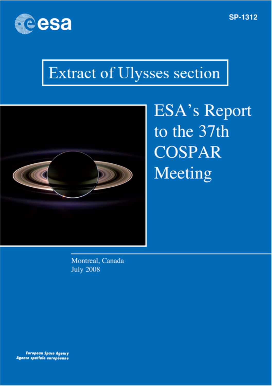

### **SP-1312**

# Extract of Ulysses section



**ESA's Report** to the 37th **COSPAR** Meeting

Montreal, Canada **July 2008** 

**European Space Agency** Agence spatiale européenne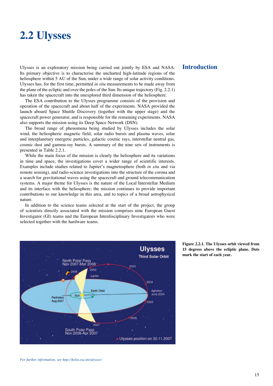## **2.2 Ulysses**

Ulysses is an exploratory mission being carried out jointly by ESA and NASA. Its primary objective is to characterise the uncharted high-latitude regions of the heliosphere within 5 AU of the Sun, under a wide range of solar activity conditions. Ulysses has, for the first time, permitted *in situ* measurements to be made away from the plane of the ecliptic and over the poles of the Sun. Its unique trajectory (Fig. 2.2.1) has taken the spacecraft into the unexplored third dimension of the heliosphere.

The ESA contribution to the Ulysses programme consists of the provision and operation of the spacecraft and about half of the experiments. NASA provided the launch aboard Space Shuttle Discovery (together with the upper stage) and the spacecraft power generator, and is responsible for the remaining experiments. NASA also supports the mission using its Deep Space Network (DSN).

The broad range of phenomena being studied by Ulysses includes the solar wind, the heliospheric magnetic field, solar radio bursts and plasma waves, solar and interplanetary energetic particles, galactic cosmic rays, interstellar neutral gas, cosmic dust and gamma-ray bursts. A summary of the nine sets of instruments is presented in Table 2.2.1.

While the main focus of the mission is clearly the heliosphere and its variations in time and space, the investigations cover a wider range of scientific interests. Examples include studies related to Jupiter's magnetosphere (both *in situ* and via remote sensing), and radio-science investigations into the structure of the corona and a search for gravitational waves using the spacecraft and ground telecommunication systems. A major theme for Ulysses is the nature of the Local Interstellar Medium and its interface with the heliosphere; the mission continues to provide important contributions to our knowledge in this area, and to topics of a broad astrophysical nature.

In addition to the science teams selected at the start of the project, the group of scientists directly associated with the mission comprises nine European Guest Investigator (GI) teams and the European Interdisciplinary Investigators who were selected together with the hardware teams.



#### **Introduction**

**Figure 2.2.1. The Ulysses orbit viewed from 15 degrees above the ecliptic plane. Dots mark the start of each year.**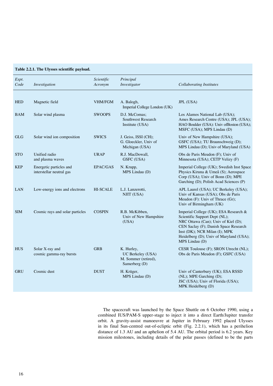| Table 2.2.1. The Ulysses scientific payload. |  |  |  |  |
|----------------------------------------------|--|--|--|--|
|----------------------------------------------|--|--|--|--|

| Expt.<br>Code | Investigation                                       | Scientific<br>Acronym | Principal<br>Investigator                                                | <b>Collaborating Institutes</b>                                                                                                                                                                                                                      |
|---------------|-----------------------------------------------------|-----------------------|--------------------------------------------------------------------------|------------------------------------------------------------------------------------------------------------------------------------------------------------------------------------------------------------------------------------------------------|
| <b>HED</b>    | Magnetic field                                      | VHM/FGM               | A. Balogh,<br>Imperial College London (UK)                               | JPL (USA)                                                                                                                                                                                                                                            |
| <b>BAM</b>    | Solar wind plasma                                   | <b>SWOOPS</b>         | D.J. McComas;<br>Southwest Research<br>Institute (USA)                   | Los Alamos National Lab (USA);<br>Ames Research Centre (USA); JPL (USA);<br>HAO Boulder (USA): Univ of Boston (USA);<br>MSFC (USA); MPS Lindau (D)                                                                                                   |
| <b>GLG</b>    | Solar wind ion composition                          | <b>SWICS</b>          | J. Geiss, ISSI (CH);<br>G. Gloeckler, Univ of<br>Michigan (USA)          | Univ of New Hampshire (USA);<br>GSFC (USA); TU Braunschweig (D);<br>MPS Lindau (D); Univ of Maryland (USA)                                                                                                                                           |
| <b>STO</b>    | Unified radio<br>and plasma waves                   | <b>URAP</b>           | R.J. MacDowall,<br><b>GSFC</b> (USA)                                     | Obs de Paris Meudon (F); Univ of<br>Minnesota (USA); CETP Velizy (F)                                                                                                                                                                                 |
| <b>KEP</b>    | Energetic particles and<br>interstellar neutral gas | EPAC/GAS              | N. Krupp,<br>MPS Lindau (D)                                              | Imperial College (UK); Swedish Inst Space<br>Physics Kiruna & Umeå (S); Aerospace<br>Corp (USA); Univ of Bonn (D); MPE<br>Garching (D); Polish Acad Sciences (P)                                                                                     |
| <b>LAN</b>    | Low-energy ions and electrons                       | <b>HI-SCALE</b>       | L.J. Lanzerotti,<br>NJIT (USA)                                           | APL Laurel (USA); UC Berkeley (USA);<br>Univ of Kansas (USA); Obs de Paris<br>Meudon (F): Univ of Thrace (Gr);<br>Univ of Birmingham (UK)                                                                                                            |
| <b>SIM</b>    | Cosmic rays and solar particles                     | <b>COSPIN</b>         | R.B. McKibben,<br>Univ of New Hampshire<br>(USA)                         | Imperial College (UK); ESA Research &<br>Scientific Support Dept (NL);<br>NRC Ottawa (Can); Univ of Kiel (D);<br>CEN Saclay (F); Danish Space Research<br>Inst (DK); NCR Milan (I); MPK<br>Heidelberg (D); Univ of Maryland (USA);<br>MPS Lindau (D) |
| <b>HUS</b>    | Solar X-ray and<br>cosmic gamma-ray bursts          | <b>GRB</b>            | K. Hurley,<br>UC Berkeley (USA)<br>M. Sommer (retired),<br>Samerberg (D) | CESR Toulouse (F); SRON Utrecht (NL);<br>Obs de Paris Meudon (F); GSFC (USA)                                                                                                                                                                         |
| <b>GRU</b>    | Cosmic dust                                         | <b>DUST</b>           | H. Krüger,<br>MPS Lindau (D)                                             | Univ of Canterbury (UK); ESA RSSD<br>(NL); MPE Garching (D);<br>JSC (USA); Univ of Florida (USA);<br>MPK Heidelberg (D)                                                                                                                              |

The spacecraft was launched by the Space Shuttle on 6 October 1990, using a combined IUS/PAM-S upper-stage to inject it into a direct Earth/Jupiter transfer orbit. A gravity-assist manoeuvre at Jupiter in February 1992 placed Ulysses in its final Sun-centred out-of-ecliptic orbit (Fig. 2.2.1), which has a perihelion distance of 1.3 AU and an aphelion of 5.4 AU. The orbital period is 6.2 years. Key mission milestones, including details of the polar passes (defined to be the parts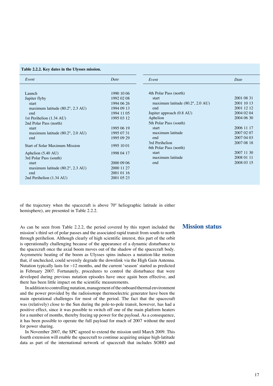**Table 2.2.2. Key dates in the Ulysses mission.**

| Date<br>4th Polar Pass (north)                                  |
|-----------------------------------------------------------------|
|                                                                 |
|                                                                 |
|                                                                 |
| 2001 08 31                                                      |
| 2001 10 13<br>maximum latitude $(80.2^{\circ}, 2.0 \text{ AU})$ |
| 2001 12 12                                                      |
| 2004 02 04<br>Jupiter approach (0.8 AU)                         |
| 2004 06 30                                                      |
| 5th Polar Pass (south)                                          |
| 2006 11 17                                                      |
| 2007 02:07<br>maximum latitude                                  |
| 2007 04 03                                                      |
| 2007 08 18<br>3rd Perihelion                                    |
| 6th Polar Pass (north)                                          |
| 2007 11 30                                                      |
| 2008 01 11<br>maximum latitude                                  |
| 2008 03 15                                                      |
|                                                                 |
|                                                                 |
|                                                                 |
|                                                                 |

of the trajectory when the spacecraft is above 70º heliographic latitude in either hemisphere), are presented in Table 2.2.2.

As can be seen from Table 2.2.2, the period covered by this report included the mission's third set of polar passes and the associated rapid transit from south to north through perihelion. Although clearly of high scientific interest, this part of the orbit is operationally challenging because of the appearance of a dynamic disturbance to the spacecraft once the axial boom moves out of the shadow of the spacecraft body. Asymmetric heating of the boom as Ulysses spins induces a nutation-like motion that, if unchecked, could severely degrade the downlink via the High Gain Antenna. Nutation typically lasts for ~12 months, and the current 'season' started as predicted in February 2007. Fortunately, procedures to control the disturbance that were developed during previous nutation episodes have once again been effective, and there has been little impact on the scientific measurements.

In addition to controlling nutation, management of the onboard thermal environment and the power provided by the radioisotope thermoelectric generator have been the main operational challenges for most of the period. The fact that the spacecraft was (relatively) close to the Sun during the pole-to-pole transit, however, has had a positive effect, since it was possible to switch off one of the main platform heaters for a number of months, thereby freeing up power for the payload. As a consequence, it has been possible to operate the full payload for much of 2007 without the need for power sharing.

In November 2007, the SPC agreed to extend the mission until March 2009. This fourth extension will enable the spacecraft to continue acquiring unique high-latitude data as part of the international network of spacecraft that includes SOHO and

#### **Mission status**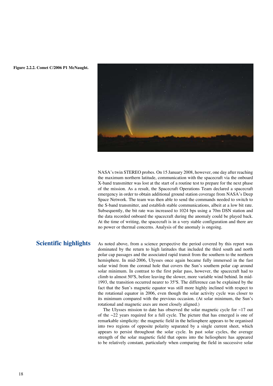

**Figure 2.2.2. Comet C/2006 P1 McNaught.**

NASA's twin STEREO probes. On 15 January 2008, however, one day after reaching the maximum northern latitude, communication with the spacecraft via the onboard X-band transmitter was lost at the start of a routine test to prepare for the next phase of the mission. As a result, the Spacecraft Operations Team declared a spacecraft emergency in order to obtain additional ground station coverage from NASA's Deep Space Network. The team was then able to send the commands needed to switch to the S-band transmitter, and establish stable communications, albeit at a low bit rate. Subsequently, the bit rate was increased to 1024 bps using a 70m DSN station and the data recorded onboard the spacecraft during the anomaly could be played back. At the time of writing, the spacecraft is in a very stable configuration and there are no power or thermal concerns. Analysis of the anomaly is ongoing.

#### **Scientific highlights**

As noted above, from a science perspective the period covered by this report was dominated by the return to high latitudes that included the third south and north polar cap passages and the associated rapid transit from the southern to the northern hemisphere. In mid-2006, Ulysses once again became fully immersed in the fast solar wind from the coronal hole that covers the Sun's southern polar cap around solar minimum. In contrast to the first polar pass, however, the spacecraft had to climb to almost 50ºS, before leaving the slower, more variable wind behind. In mid-1993, the transition occurred nearer to 35ºS. The difference can be explained by the fact that the Sun's magnetic equator was still more highly inclined with respect to the rotational equator in 2006, even though the solar activity cycle was closer to its minimum compared with the previous occasion. (At solar minimum, the Sun's rotational and magnetic axes are most closely aligned.)

The Ulysses mission to date has observed the solar magnetic cycle for  $\sim$ 17 out of the  $\sim$ 22 years required for a full cycle. The picture that has emerged is one of remarkable simplicity: the magnetic field in the heliosphere appears to be organised into two regions of opposite polarity separated by a single current sheet, which appears to persist throughout the solar cycle. In past solar cycles, the average strength of the solar magnetic field that opens into the heliosphere has appeared to be relatively constant, particularly when comparing the field in successive solar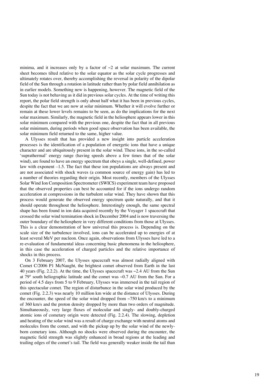minima, and it increases only by a factor of  $\sim$ 2 at solar maximum. The current sheet becomes tilted relative to the solar equator as the solar cycle progresses and ultimately rotates over, thereby accomplishing the reversal in polarity of the dipolar field of the Sun through a rotation in latitude rather than by polar field annihilation as in earlier models. Something new is happening, however. The magnetic field of the Sun today is not behaving as it did in previous solar cycles. At the time of writing this report, the polar field strength is only about half what it has been in previous cycles, despite the fact that we are now at solar minimum. Whether it will evolve further or remain at these lower levels remains to be seen, as do the implications for the next solar maximum. Similarly, the magnetic field in the heliosphere appears lower in this solar minimum compared with the previous one, despite the fact that in all previous solar minimum, during periods when good space observation has been available, the solar minimum field returned to the same, higher value.

A Ulysses result that has provided a new insight into particle acceleration processes is the identification of a population of energetic ions that have a unique character and are ubiquitously present in the solar wind. These ions, in the so-called 'suprathermal' energy range (having speeds above a few times that of the solar wind), are found to have an energy spectrum that obeys a single, well-defined, power law with exponent –1.5. The fact that these ion populations are always present and are not associated with shock waves (a common source of energy gain) has led to a number of theories regarding their origin. Most recently, members of the Ulysses Solar Wind Ion Composition Spectrometer (SWICS) experiment team have proposed that the observed properties can best be accounted for if the ions undergo random acceleration at compressions in the turbulent solar wind. They have shown that this process would generate the observed energy spectrum quite naturally, and that it should operate throughout the heliosphere. Interestingly enough, the same spectral shape has been found in ion data acquired recently by the Voyager 1 spacecraft that crossed the solar wind termination shock in December 2004 and is now traversing the outer boundary of the heliosphere in very different conditions from those at Ulysses. This is a clear demonstration of how universal this process is. Depending on the scale size of the turbulence involved, ions can be accelerated up to energies of at least several MeV per nucleon. Once again, observations from Ulysses have led to a re-evaluation of fundamental ideas concerning basic phenomena in the heliosphere, in this case the acceleration of charged particles and the relative importance of shocks in this process.

On 3 February 2007, the Ulysses spacecraft was almost radially aligned with Comet C/2006 P1 McNaught, the brightest comet observed from Earth in the last 40 years (Fig. 2.2.2). At the time, the Ulysses spacecraft was  $\sim$  2.4 AU from the Sun at 79 $\degree$  south heliographic latitude and the comet was  $\sim$ 0.7 AU from the Sun. For a period of 4.5 days from 5 to 9 February, Ulysses was immersed in the tail region of this spectacular comet. The region of disturbance in the solar wind produced by the comet (Fig. 2.2.3) was nearly 10 million km wide at the distance of Ulysses. During the encounter, the speed of the solar wind dropped from  $\sim$ 750 km/s to a minimum of 360 km/s and the proton density dropped by more than two orders of magnitude. Simultaneously, very large fluxes of molecular and singly- and doubly-charged atomic ions of cometary origin were detected (Fig. 2.2.4). The slowing, depletion and heating of the solar wind was a result of charge exchange with neutral atoms and molecules from the comet, and with the pickup up by the solar wind of the newlyborn cometary ions. Although no shocks were observed during the encounter, the magnetic field strength was slightly enhanced in broad regions at the leading and trailing edges of the comet's tail. The field was generally weaker inside the tail than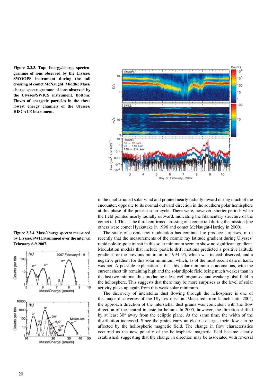**Figure 2.2.3. Top: Energy/charge spectrogramme of ions observed by the Ulysses/ SWOOPS instrument during the tail crossing of comet McNaught. Middle: Mass/ charge spectrogramme of ions observed by the Ulysses/SWICS instrument. Bottom: Fluxes of energetic particles in the three lowest energy channels of the Ulysses/ HISCALE instrument.**



in the unobstructed solar wind and pointed nearly radially inward during much of the encounter, opposite to its normal outward direction in the southern polar hemisphere at this phase of the present solar cycle. There were, however, shorter periods when the field pointed nearly radially outward, indicating the filamentary structure of the comet tail. This is the third confirmed crossing of a comet tail during the mission (the others were comet Hyakutake in 1996 and comet McNaught-Hartley in 2000).

The study of cosmic ray modulation has continued to produce surprises, most recently that the measurements of the cosmic ray latitude gradient during Ulysses' rapid pole-to-pole transit in this solar minimum seem to show no significant gradient. Modulation models that include particle drift motions predicted a positive latitude gradient for the previous minimum in 1994–95, which was indeed observed, and a negative gradient for this solar minimum, which, as of the most recent data in hand, was not. A possible explanation is that this solar minimum is anomalous, with the current sheet tilt remaining high and the solar dipole field being much weaker than in the last two minima, thus producing a less well organised and weaker global field in the heliosphere. This suggests that there may be more surprises as the level of solar activity picks up again from this weak solar minimum.

The discovery of interstellar dust flowing through the heliosphere is one of the major discoveries of the Ulysses mission. Measured from launch until 2004, the approach direction of the interstellar dust grains was coincident with the flow direction of the neutral interstellar helium. In 2005, however, the direction shifted by at least 30° away from the ecliptic plane. At the same time, the width of the distribution increased. Since the grains carry an electric charge, their flow can be affected by the heliospheric magnetic field. The change in flow characteristics occurred as the new polarity of the heliospheric magnetic field became clearly established, suggesting that the change in direction may be associated with reversal

**Figure 2.2.4. Mass/charge spectra measured by Ulysses/SWICS summed over the interval February 6-9 2007.**